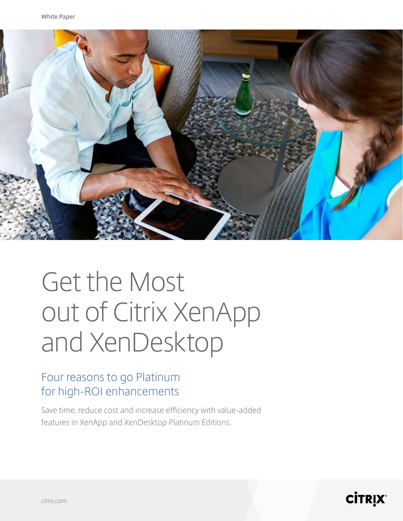

# Get the Most out of Citrix XenApp and XenDesktop

### Four reasons to go Platinum for high-ROI enhancements

Save time, reduce cost and increase efficiency with value-added features in XenApp and XenDesktop Platinum Editions.

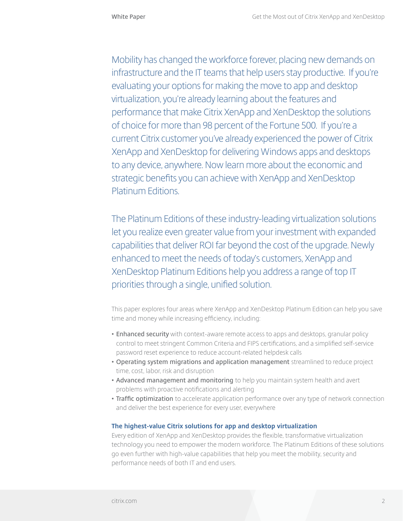Mobility has changed the workforce forever, placing new demands on infrastructure and the IT teams that help users stay productive. If you're evaluating your options for making the move to app and desktop virtualization, you're already learning about the features and performance that make Citrix XenApp and XenDesktop the solutions of choice for more than 98 percent of the Fortune 500. If you're a current Citrix customer you've already experienced the power of Citrix XenApp and XenDesktop for delivering Windows apps and desktops to any device, anywhere. Now learn more about the economic and strategic benefits you can achieve with XenApp and XenDesktop Platinum Editions.

The Platinum Editions of these industry-leading virtualization solutions let you realize even greater value from your investment with expanded capabilities that deliver ROI far beyond the cost of the upgrade. Newly enhanced to meet the needs of today's customers, XenApp and XenDesktop Platinum Editions help you address a range of top IT priorities through a single, unified solution.

This paper explores four areas where XenApp and XenDesktop Platinum Edition can help you save time and money while increasing efficiency, including:

- **• Enhanced security** with context-aware remote access to apps and desktops, granular policy control to meet stringent Common Criteria and FIPS certifications, and a simplified self-service password reset experience to reduce account-related helpdesk calls
- **• Operating system migrations and application management** streamlined to reduce project time, cost, labor, risk and disruption
- **• Advanced management and monitoring** to help you maintain system health and avert problems with proactive notifications and alerting
- **• Traffic optimization** to accelerate application performance over any type of network connection and deliver the best experience for every user, everywhere

#### **The highest-value Citrix solutions for app and desktop virtualization**

Every edition of XenApp and XenDesktop provides the flexible, transformative virtualization technology you need to empower the modern workforce. The Platinum Editions of these solutions go even further with high-value capabilities that help you meet the mobility, security and performance needs of both IT and end users.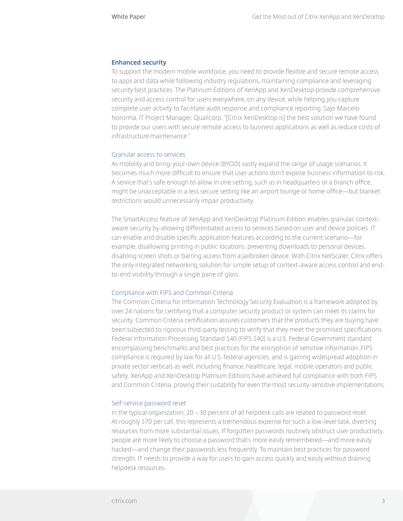#### **Enhanced security**

To support the modern mobile workforce, you need to provide flexible and secure remote access to apps and data while following industry regulations, maintaining compliance and leveraging security best practices. The Platinum Editions of XenApp and XenDesktop provide comprehensive security and access control for users everywhere, on any device, while helping you capture complete user activity to facilitate audit response and compliance reporting. Says Marcelo Noronha, IT Project Manager, Qualicorp, "[Citrix XenDesktop is] the best solution we have found to provide our users with secure remote access to business applications as well as reduce costs of infrastructure maintenance."

#### Granular access to services

As mobility and bring-your-own device (BYOD) vastly expand the range of usage scenarios, it becomes much more difficult to ensure that user actions don't expose business information to risk. A service that's safe enough to allow in one setting, such as in headquarters or a branch office, might be unacceptable in a less secure setting like an airport lounge or home office—but blanket restrictions would unnecessarily impair productivity.

The SmartAccess feature of XenApp and XenDesktop Platinum Edition enables granular, contextaware security by allowing differentiated access to services based on user and device policies. IT can enable and disable specific application features according to the current scenario—for example, disallowing printing in public locations, preventing downloads to personal devices, disabling screen shots or barring access from a jailbroken device. With Citrix NetScaler, Citrix offers the only integrated networking solution for simple setup of context-aware access control and endto-end visibility through a single pane of glass.

#### Compliance with FIPS and Common Criteria

The Common Criteria for Information Technology Security Evaluation is a framework adopted by over 24 nations for certifying that a computer security product or system can meet its claims for security. Common Criteria certification assures customers that the products they are buying have been subjected to rigorous third-party testing to verify that they meet the promised specifications. Federal Information Processing Standard 140 (FIPS 140) is a U.S. Federal Government standard encompassing benchmarks and best practices for the encryption of sensitive information. FIPS compliance is required by law for all U.S. federal agencies, and is gaining widespread adoption in private sector verticals as well, including finance, healthcare, legal, mobile operators and public safety. XenApp and XenDesktop Platinum Editions have achieved full compliance with both FIPS and Common Criteria, proving their suitability for even the most security-sensitive implementations.

#### Self-service password reset

In the typical organization, 20 – 30 percent of all helpdesk calls are related to password reset. At roughly \$70 per call, this represents a tremendous expense for such a low-level task, diverting resources from more substantial issues. If forgotten passwords routinely obstruct user productivity, people are more likely to choose a password that's more easily remembered—and more easily hacked—and change their passwords less frequently. To maintain best practices for password strength, IT needs to provide a way for users to gain access quickly and easily without draining helpdesk resources.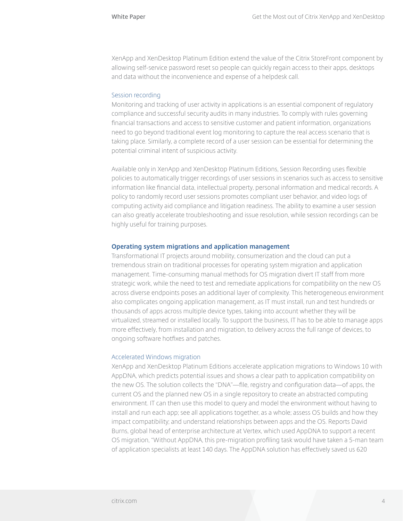XenApp and XenDesktop Platinum Edition extend the value of the Citrix StoreFront component by allowing self-service password reset so people can quickly regain access to their apps, desktops and data without the inconvenience and expense of a helpdesk call.

#### Session recording

Monitoring and tracking of user activity in applications is an essential component of regulatory compliance and successful security audits in many industries. To comply with rules governing financial transactions and access to sensitive customer and patient information, organizations need to go beyond traditional event log monitoring to capture the real access scenario that is taking place. Similarly, a complete record of a user session can be essential for determining the potential criminal intent of suspicious activity.

Available only in XenApp and XenDesktop Platinum Editions, Session Recording uses flexible policies to automatically trigger recordings of user sessions in scenarios such as access to sensitive information like financial data, intellectual property, personal information and medical records. A policy to randomly record user sessions promotes compliant user behavior, and video logs of computing activity aid compliance and litigation readiness. The ability to examine a user session can also greatly accelerate troubleshooting and issue resolution, while session recordings can be highly useful for training purposes.

#### **Operating system migrations and application management**

Transformational IT projects around mobility, consumerization and the cloud can put a tremendous strain on traditional processes for operating system migration and application management. Time-consuming manual methods for OS migration divert IT staff from more strategic work, while the need to test and remediate applications for compatibility on the new OS across diverse endpoints poses an additional layer of complexity. This heterogeneous environment also complicates ongoing application management, as IT must install, run and test hundreds or thousands of apps across multiple device types, taking into account whether they will be virtualized, streamed or installed locally. To support the business, IT has to be able to manage apps more effectively, from installation and migration, to delivery across the full range of devices, to ongoing software hotfixes and patches.

#### Accelerated Windows migration

XenApp and XenDesktop Platinum Editions accelerate application migrations to Windows 10 with AppDNA, which predicts potential issues and shows a clear path to application compatibility on the new OS. The solution collects the "DNA"—file, registry and configuration data—of apps, the current OS and the planned new OS in a single repository to create an abstracted computing environment. IT can then use this model to query and model the environment without having to install and run each app; see all applications together, as a whole; assess OS builds and how they impact compatibility; and understand relationships between apps and the OS. Reports David Burns, global head of enterprise architecture at Vertex, which used AppDNA to support a recent OS migration, "Without AppDNA, this pre-migration profiling task would have taken a 5-man team of application specialists at least 140 days. The AppDNA solution has effectively saved us 620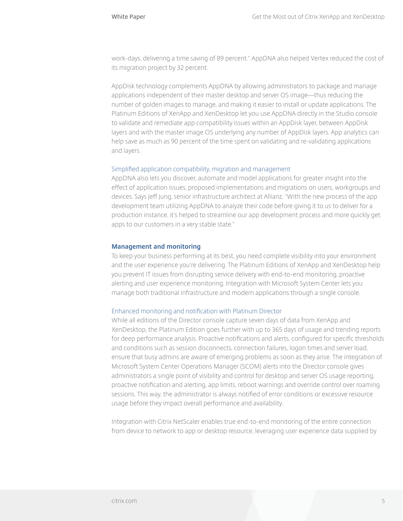work-days, delivering a time saving of 89 percent." AppDNA also helped Vertex reduced the cost of its migration project by 32 percent.

AppDisk technology complements AppDNA by allowing administrators to package and manage applications independent of their master desktop and server OS image—thus reducing the number of golden images to manage, and making it easier to install or update applications. The Platinum Editions of XenApp and XenDesktop let you use AppDNA directly in the Studio console to validate and remediate app compatibility issues within an AppDisk layer, between AppDisk layers and with the master image OS underlying any number of AppDisk layers. App analytics can help save as much as 90 percent of the time spent on validating and re-validating applications and layers.

#### Simplified application compatibility, migration and management

AppDNA also lets you discover, automate and model applications for greater insight into the effect of application issues, proposed implementations and migrations on users, workgroups and devices. Says Jeff Jung, senior infrastructure architect at Allianz, "With the new process of the app development team utilizing AppDNA to analyze their code before giving it to us to deliver for a production instance, it's helped to streamline our app development process and more quickly get apps to our customers in a very stable state."

#### **Management and monitoring**

To keep your business performing at its best, you need complete visibility into your environment and the user experience you're delivering. The Platinum Editions of XenApp and XenDesktop help you prevent IT issues from disrupting service delivery with end-to-end monitoring, proactive alerting and user experience monitoring. Integration with Microsoft System Center lets you manage both traditional infrastructure and modern applications through a single console.

#### Enhanced monitoring and notification with Platinum Director

While all editions of the Director console capture seven days of data from XenApp and XenDesktop, the Platinum Edition goes further with up to 365 days of usage and trending reports for deep performance analysis. Proactive notifications and alerts, configured for specific thresholds and conditions such as session disconnects, connection failures, logon times and server load, ensure that busy admins are aware of emerging problems as soon as they arise. The integration of Microsoft System Center Operations Manager (SCOM) alerts into the Director console gives administrators a single point of visibility and control for desktop and server OS usage reporting, proactive notification and alerting, app limits, reboot warnings and override control over roaming sessions. This way, the administrator is always notified of error conditions or excessive resource usage before they impact overall performance and availability.

Integration with Citrix NetScaler enables true end-to-end monitoring of the entire connection from device to network to app or desktop resource, leveraging user experience data supplied by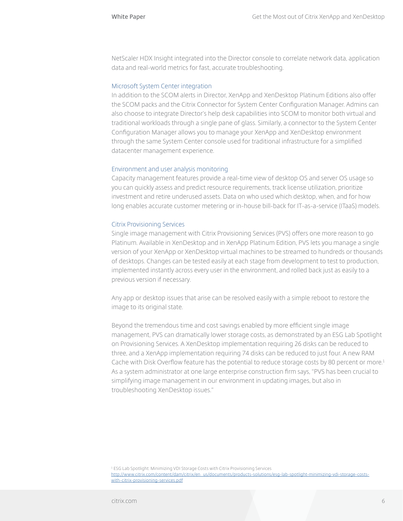NetScaler HDX Insight integrated into the Director console to correlate network data, application data and real-world metrics for fast, accurate troubleshooting.

#### Microsoft System Center integration

In addition to the SCOM alerts in Director, XenApp and XenDesktop Platinum Editions also offer the SCOM packs and the Citrix Connector for System Center Configuration Manager. Admins can also choose to integrate Director's help desk capabilities into SCOM to monitor both virtual and traditional workloads through a single pane of glass. Similarly, a connector to the System Center Configuration Manager allows you to manage your XenApp and XenDesktop environment through the same System Center console used for traditional infrastructure for a simplified datacenter management experience.

#### Environment and user analysis monitoring

Capacity management features provide a real-time view of desktop OS and server OS usage so you can quickly assess and predict resource requirements, track license utilization, prioritize investment and retire underused assets. Data on who used which desktop, when, and for how long enables accurate customer metering or in-house bill-back for IT-as-a-service (ITaaS) models.

#### Citrix Provisioning Services

Single image management with Citrix Provisioning Services (PVS) offers one more reason to go Platinum. Available in XenDesktop and in XenApp Platinum Edition, PVS lets you manage a single version of your XenApp or XenDesktop virtual machines to be streamed to hundreds or thousands of desktops. Changes can be tested easily at each stage from development to test to production, implemented instantly across every user in the environment, and rolled back just as easily to a previous version if necessary.

Any app or desktop issues that arise can be resolved easily with a simple reboot to restore the image to its original state.

Beyond the tremendous time and cost savings enabled by more efficient single image management, PVS can dramatically lower storage costs, as demonstrated by an ESG Lab Spotlight on Provisioning Services. A XenDesktop implementation requiring 26 disks can be reduced to three, and a XenApp implementation requiring 74 disks can be reduced to just four. A new RAM Cache with Disk Overflow feature has the potential to reduce storage costs by 80 percent or more.<sup>1</sup> As a system administrator at one large enterprise construction firm says, "PVS has been crucial to simplifying image management in our environment in updating images, but also in troubleshooting XenDesktop issues."

1 ESG Lab Spotlight: Minimizing VDI Storage Costs with Citrix Provisioning Services http://www.citrix.com/content/dam/citrix/en\_us/documents/products-solutions/esg-lab-spotlight-minimizing-vdi-storage-costswith-citrix-provisioning-services.pdf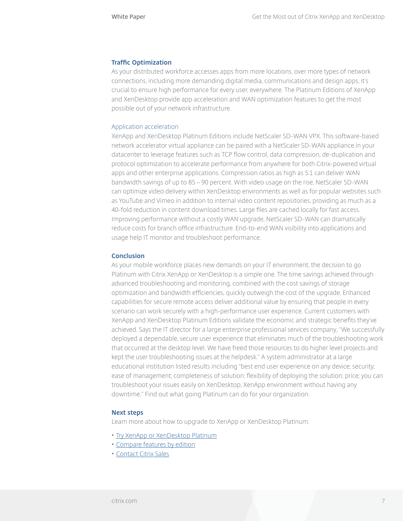#### **Traffic Optimization**

As your distributed workforce accesses apps from more locations, over more types of network connections, including more demanding digital media, communications and design apps, it's crucial to ensure high performance for every user, everywhere. The Platinum Editions of XenApp and XenDesktop provide app acceleration and WAN optimization features to get the most possible out of your network infrastructure.

#### Application acceleration

XenApp and XenDesktop Platinum Editions include NetScaler SD-WAN VPX. This software-based network accelerator virtual appliance can be paired with a NetScaler SD-WAN appliance in your datacenter to leverage features such as TCP flow control, data compression, de-duplication and protocol optimization to accelerate performance from anywhere for both Citrix-powered virtual apps and other enterprise applications. Compression ratios as high as 5:1 can deliver WAN bandwidth savings of up to 85 – 90 percent. With video usage on the rise, NetScaler SD-WAN can optimize video delivery within XenDesktop environments as well as for popular websites such as YouTube and Vimeo in addition to internal video content repositories, providing as much as a 40-fold reduction in content download times. Large files are cached locally for fast access. Improving performance without a costly WAN upgrade, NetScaler SD-WAN can dramatically reduce costs for branch office infrastructure. End-to-end WAN visibility into applications and usage help IT monitor and troubleshoot performance.

#### **Conclusion**

As your mobile workforce places new demands on your IT environment, the decision to go Platinum with Citrix XenApp or XenDesktop is a simple one. The time savings achieved through advanced troubleshooting and monitoring, combined with the cost savings of storage optimization and bandwidth efficiencies, quickly outweigh the cost of the upgrade. Enhanced capabilities for secure remote access deliver additional value by ensuring that people in every scenario can work securely with a high-performance user experience. Current customers with XenApp and XenDesktop Platinum Editions validate the economic and strategic benefits they've achieved. Says the IT director for a large enterprise professional services company, "We successfully deployed a dependable, secure user experience that eliminates much of the troubleshooting work that occurred at the desktop level. We have freed those resources to do higher level projects and kept the user troubleshooting issues at the helpdesk." A system administrator at a large educational institution listed results including "best end user experience on any device; security; ease of management; completeness of solution; flexibility of deploying the solution; price; you can troubleshoot your issues easily on XenDesktop, XenApp environment without having any downtime." Find out what going Platinum can do for your organization.

#### **Next steps**

Learn more about how to upgrade to XenApp or XenDesktop Platinum.

- Try XenApp or XenDesktop Platinum
- Compare features by edition
- Contact Citrix Sales